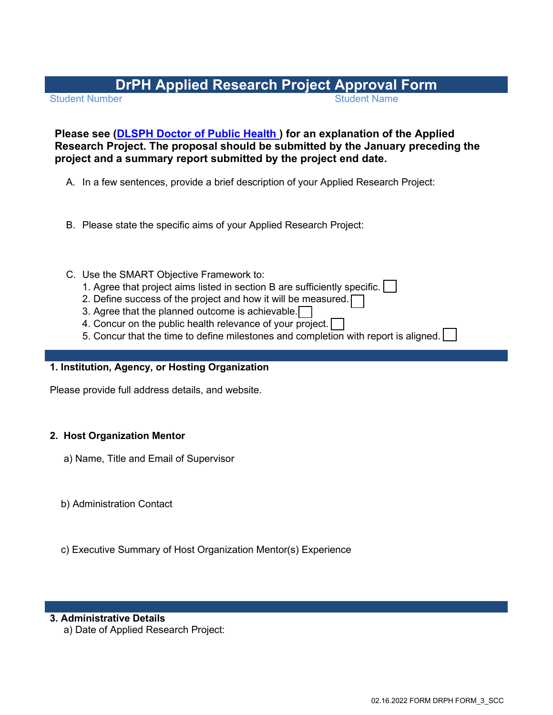# **DrPH Applied Research Project Approval Form**

**Student Number** 

# **Please see [\(DLSPH Doctor of Public Health \)](https://www.dlsph.utoronto.ca/program/doctor-of-public-health/) for an explanation of the Applied Research Project. The proposal should be submitted by the January preceding the project and a summary report submitted by the project end date.**

- A. In a few sentences, provide a brief description of your Applied Research Project:
- B. Please state the specific aims of your Applied Research Project:
- C. Use the SMART Objective Framework to:
	- 1. Agree that project aims listed in section B are sufficiently specific.
	- 2. Define success of the project and how it will be measured.
	- 3. Agree that the planned outcome is achievable.
	- 4. Concur on the public health relevance of your project.
	- 5. Concur that the time to define milestones and completion with report is aligned.

# **1. Institution, Agency, or Hosting Organization**

Please provide full address details, and website.

## **2. Host Organization Mentor**

- a) Name, Title and Email of Supervisor
- b) Administration Contact
- c) Executive Summary of Host Organization Mentor(s) Experience

## **3. Administrative Details**

a) Date of Applied Research Project: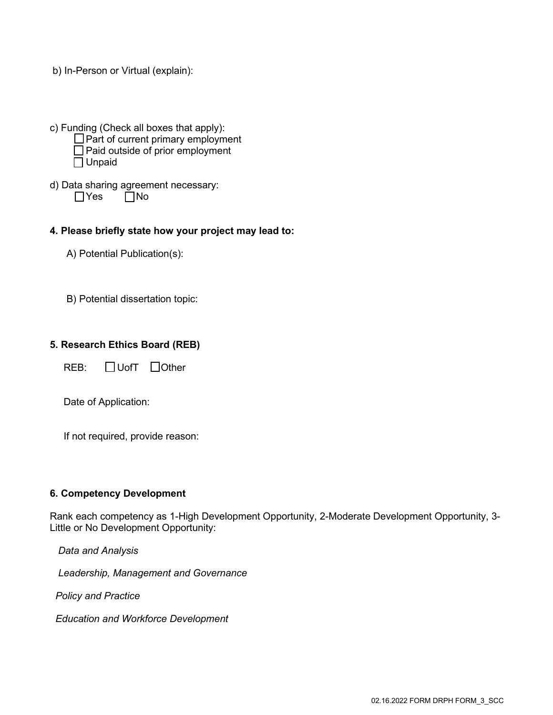- b) In-Person or Virtual (explain):
- c) Funding (Check all boxes that apply):  $\Box$  Part of current primary employment □ Paid outside of prior employment Unpaid
- d) Data sharing agreement necessary:  $\Box$ Yes  $\Box$ No

#### **4. Please briefly state how your project may lead to:**

A) Potential Publication(s):

B) Potential dissertation topic:

#### **5. Research Ethics Board (REB)**

 $REB: \Box$  UofT  $\Box$  Other

Date of Application:

If not required, provide reason:

#### **6. Competency Development**

Rank each competency as 1-High Development Opportunity, 2-Moderate Development Opportunity, 3- Little or No Development Opportunity:

 *Data and Analysis* 

 *Leadership, Management and Governance* 

 *Policy and Practice* 

 *Education and Workforce Development*